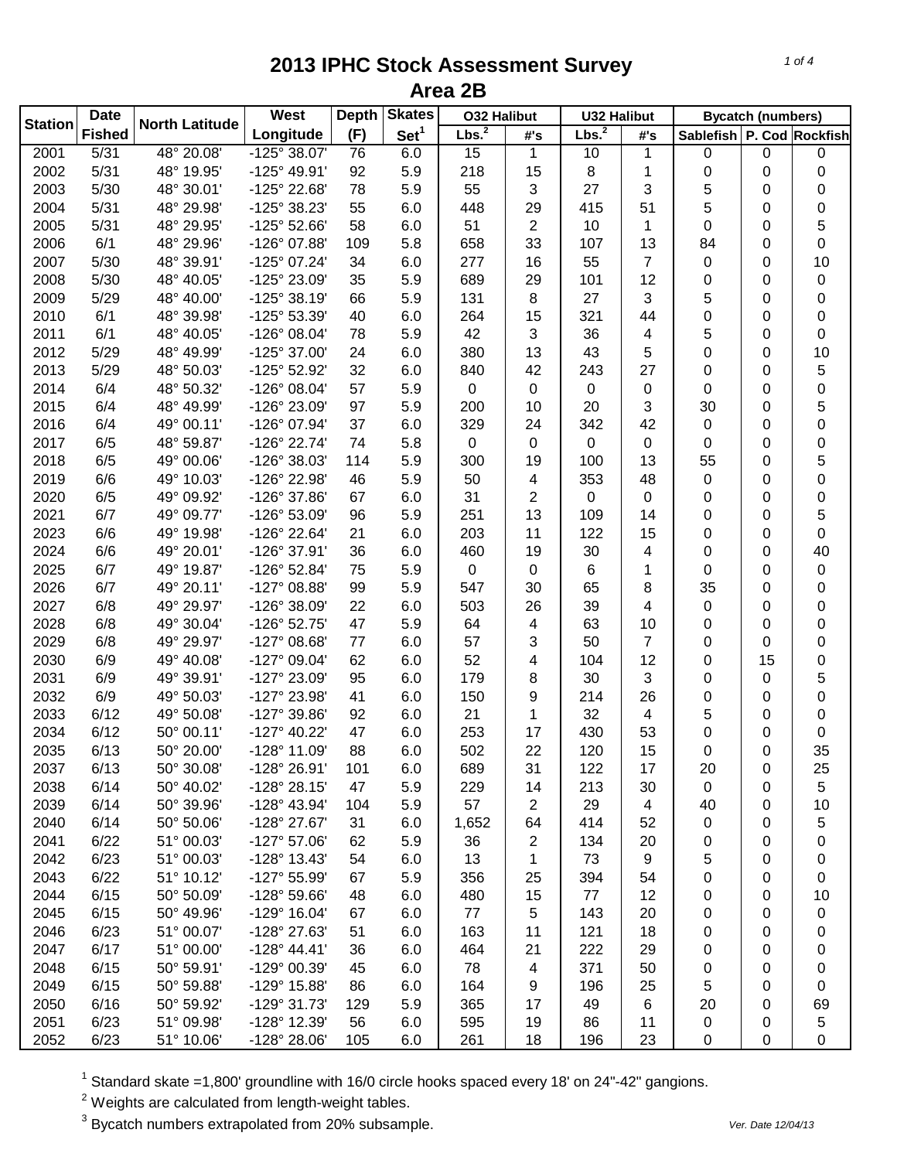|                | <b>Date</b>   |                       | West                  | <b>Depth</b> | <b>Skates</b>    | <b>032 Halibut</b> |             | <b>U32 Halibut</b> |     | <b>Bycatch (numbers)</b>  |             |           |
|----------------|---------------|-----------------------|-----------------------|--------------|------------------|--------------------|-------------|--------------------|-----|---------------------------|-------------|-----------|
| <b>Station</b> | <b>Fished</b> | <b>North Latitude</b> | Longitude             | (F)          | Set <sup>1</sup> | Lbs. <sup>2</sup>  | #'s         | Lbs. <sup>2</sup>  | #'s | Sablefish P. Cod Rockfish |             |           |
| 2001           | 5/31          | 48° 20.08'            | $-125^{\circ} 38.07'$ | 76           | 6.0              | 15                 | 1           | 10                 | 1   | 0                         | $\mathbf 0$ | 0         |
| 2002           | 5/31          | 48° 19.95'            | -125° 49.91'          | 92           | 5.9              | 218                | 15          | 8                  | 1   | $\mathbf 0$               | 0           | 0         |
| 2003           | 5/30          | 48° 30.01'            | -125° 22.68'          | 78           | 5.9              | 55                 | 3           | 27                 | 3   | 5                         | 0           | 0         |
| 2004           | 5/31          | 48° 29.98'            | -125° 38.23'          | 55           | 6.0              | 448                | 29          | 415                | 51  | 5                         | 0           | 0         |
| 2005           | 5/31          | 48° 29.95'            | -125° 52.66'          | 58           | 6.0              | 51                 | 2           | 10                 | 1   | $\mathbf 0$               | 0           | 5         |
| 2006           | 6/1           | 48° 29.96'            | -126° 07.88'          | 109          | 5.8              | 658                | 33          | 107                | 13  | 84                        | 0           | 0         |
| 2007           | 5/30          | 48° 39.91'            | -125° 07.24'          | 34           | 6.0              | 277                | 16          | 55                 | 7   | 0                         | 0           | 10        |
| 2008           | 5/30          | 48° 40.05'            | -125° 23.09'          | 35           | 5.9              | 689                | 29          | 101                | 12  | 0                         | 0           | 0         |
| 2009           | 5/29          | 48° 40.00'            | $-125°38.19'$         | 66           | 5.9              | 131                | 8           | 27                 | 3   | 5                         | 0           | 0         |
| 2010           | 6/1           | 48° 39.98'            | -125° 53.39'          | 40           | 6.0              | 264                | 15          | 321                | 44  | $\mathbf 0$               | 0           | 0         |
| 2011           | 6/1           | 48° 40.05'            | -126° 08.04'          | 78           | 5.9              | 42                 | 3           | 36                 | 4   | 5                         | 0           | 0         |
| 2012           | 5/29          | 48° 49.99'            | -125° 37.00'          | 24           | 6.0              | 380                | 13          | 43                 | 5   | 0                         | 0           | 10        |
| 2013           | 5/29          | 48° 50.03'            | -125° 52.92'          | 32           | 6.0              | 840                | 42          | 243                | 27  | 0                         | 0           | 5         |
| 2014           | 6/4           | 48° 50.32'            | -126° 08.04'          | 57           | 5.9              | 0                  | 0           | 0                  | 0   | 0                         | 0           | 0         |
| 2015           | 6/4           | 48° 49.99'            | -126° 23.09'          | 97           | 5.9              | 200                | 10          | 20                 | 3   | 30                        | 0           | 5         |
| 2016           | 6/4           | 49° 00.11'            | -126° 07.94'          | 37           | 6.0              | 329                | 24          | 342                | 42  | 0                         | 0           | 0         |
| 2017           | 6/5           | 48° 59.87'            | -126° 22.74'          | 74           | 5.8              | 0                  | 0           | 0                  | 0   | $\mathbf 0$               | 0           | 0         |
| 2018           | 6/5           | 49° 00.06'            | -126° 38.03'          | 114          | 5.9              | 300                | 19          | 100                | 13  | 55                        | 0           | 5         |
| 2019           | 6/6           | 49° 10.03'            | -126° 22.98'          | 46           | 5.9              | 50                 | 4           | 353                | 48  | 0                         | 0           | 0         |
| 2020           | 6/5           | 49° 09.92'            | -126° 37.86'          | 67           | 6.0              | 31                 | 2           | $\mathbf 0$        | 0   | 0                         | 0           | 0         |
| 2021           | 6/7           | 49° 09.77'            | -126° 53.09'          | 96           | 5.9              | 251                | 13          | 109                | 14  | 0                         | 0           | 5         |
| 2023           | 6/6           | 49° 19.98'            | -126° 22.64'          | 21           | 6.0              | 203                | 11          | 122                | 15  | 0                         | 0           | $\pmb{0}$ |
| 2024           | 6/6           | 49° 20.01'            | -126° 37.91'          | 36           | 6.0              | 460                | 19          | 30                 | 4   | 0                         | 0           | 40        |
| 2025           | 6/7           | 49° 19.87'            | -126° 52.84'          | 75           | 5.9              | 0                  | $\mathbf 0$ | 6                  | 1   | 0                         | 0           | 0         |
| 2026           | 6/7           | 49° 20.11'            | $-127^{\circ}$ 08.88' | 99           | 5.9              | 547                | 30          | 65                 | 8   | 35                        | 0           | 0         |
| 2027           | 6/8           | 49° 29.97'            | -126° 38.09'          | 22           | 6.0              | 503                | 26          | 39                 | 4   | 0                         | 0           | 0         |
| 2028           | 6/8           | 49° 30.04'            | -126° 52.75'          | 47           | 5.9              | 64                 | 4           | 63                 | 10  | 0                         | 0           | 0         |
| 2029           | 6/8           | 49° 29.97'            | $-127^{\circ}$ 08.68' | 77           | 6.0              | 57                 | 3           | 50                 | 7   | 0                         | 0           | 0         |
| 2030           | 6/9           | 49° 40.08'            | -127° 09.04'          | 62           | 6.0              | 52                 | 4           | 104                | 12  | 0                         | 15          | 0         |
| 2031           | 6/9           | 49° 39.91'            | -127° 23.09'          | 95           | 6.0              | 179                | 8           | 30                 | 3   | 0                         | 0           | 5         |
| 2032           | 6/9           | 49° 50.03'            | -127° 23.98'          | 41           | 6.0              | 150                | 9           | 214                | 26  | 0                         | 0           | 0         |
| 2033           | 6/12          | 49° 50.08'            | -127° 39.86'          | 92           | 6.0              | 21                 | 1           | 32                 | 4   | 5                         | 0           | 0         |
| 2034           | 6/12          | 50° 00.11'            | $-127^{\circ}$ 40.22' | 47           | 6.0              | 253                | 17          | 430                | 53  | 0                         | 0           | 0         |
| 2035           | 6/13          | 50° 20.00'            | -128° 11.09'          | 88           | 6.0              | 502                | 22          | 120                | 15  | $\mathbf 0$               | 0           | 35        |
| 2037           | 6/13          | 50° 30.08'            | -128° 26.91'          | 101          | 6.0              | 689                | 31          | 122                | 17  | 20                        | 0           | 25        |
| 2038           | 6/14          | 50° 40.02'            | -128° 28.15'          | 47           | 5.9              | 229                | 14          | 213                | 30  | 0                         | 0           | 5         |
| 2039           | 6/14          | 50° 39.96'            | -128° 43.94'          | 104          | 5.9              | 57                 | 2           | 29                 | 4   | 40                        | 0           | 10        |
| 2040           | 6/14          | 50° 50.06'            | -128° 27.67'          | 31           | 6.0              | 1,652              | 64          | 414                | 52  | 0                         | 0           | 5         |
| 2041           | 6/22          | 51° 00.03'            | -127° 57.06'          | 62           | 5.9              | 36                 | 2           | 134                | 20  | 0                         | 0           | 0         |
| 2042           | 6/23          | 51° 00.03'            | -128° 13.43'          | 54           | 6.0              | 13                 | 1           | 73                 | 9   | 5                         | 0           | 0         |
| 2043           | 6/22          | 51° 10.12'            | -127° 55.99'          | 67           | 5.9              | 356                | 25          | 394                | 54  | 0                         | 0           | 0         |
| 2044           | 6/15          | 50° 50.09'            | -128° 59.66'          | 48           | 6.0              | 480                | 15          | 77                 | 12  | 0                         | 0           | 10        |
| 2045           | 6/15          | 50° 49.96'            | -129° 16.04'          | 67           | 6.0              | 77                 | 5           | 143                | 20  | 0                         | 0           | 0         |
| 2046           | 6/23          | 51° 00.07'            | -128° 27.63'          | 51           | 6.0              | 163                | 11          | 121                | 18  | 0                         | 0           | 0         |
| 2047           | 6/17          | 51° 00.00'            | $-128^{\circ}$ 44.41' | 36           | 6.0              | 464                | 21          | 222                | 29  | 0                         | 0           | 0         |
| 2048           | 6/15          | 50° 59.91'            | -129° 00.39'          | 45           | 6.0              | 78                 | 4           | 371                | 50  | 0                         | 0           | 0         |
| 2049           | 6/15          | 50° 59.88'            | -129° 15.88'          | 86           | 6.0              | 164                | 9           | 196                | 25  | 5                         | 0           | 0         |
| 2050           | 6/16          | 50° 59.92'            | -129° 31.73'          | 129          | 5.9              | 365                | 17          | 49                 | 6   | 20                        | 0           | 69        |
| 2051           | 6/23          | 51° 09.98'            | -128° 12.39'          | 56           | 6.0              | 595                | 19          | 86                 | 11  | 0                         | 0           | 5         |
| 2052           | 6/23          | 51° 10.06'            | -128° 28.06'          | 105          | 6.0              | 261                | 18          | 196                | 23  | 0                         | 0           | 0         |
|                |               |                       |                       |              |                  |                    |             |                    |     |                           |             |           |

<sup>1</sup> Standard skate =1,800' groundline with 16/0 circle hooks spaced every 18' on 24"-42" gangions.

 $2$  Weights are calculated from length-weight tables.

<sup>3</sup> Bycatch numbers extrapolated from 20% subsample. *Ver. Date 12/04/13*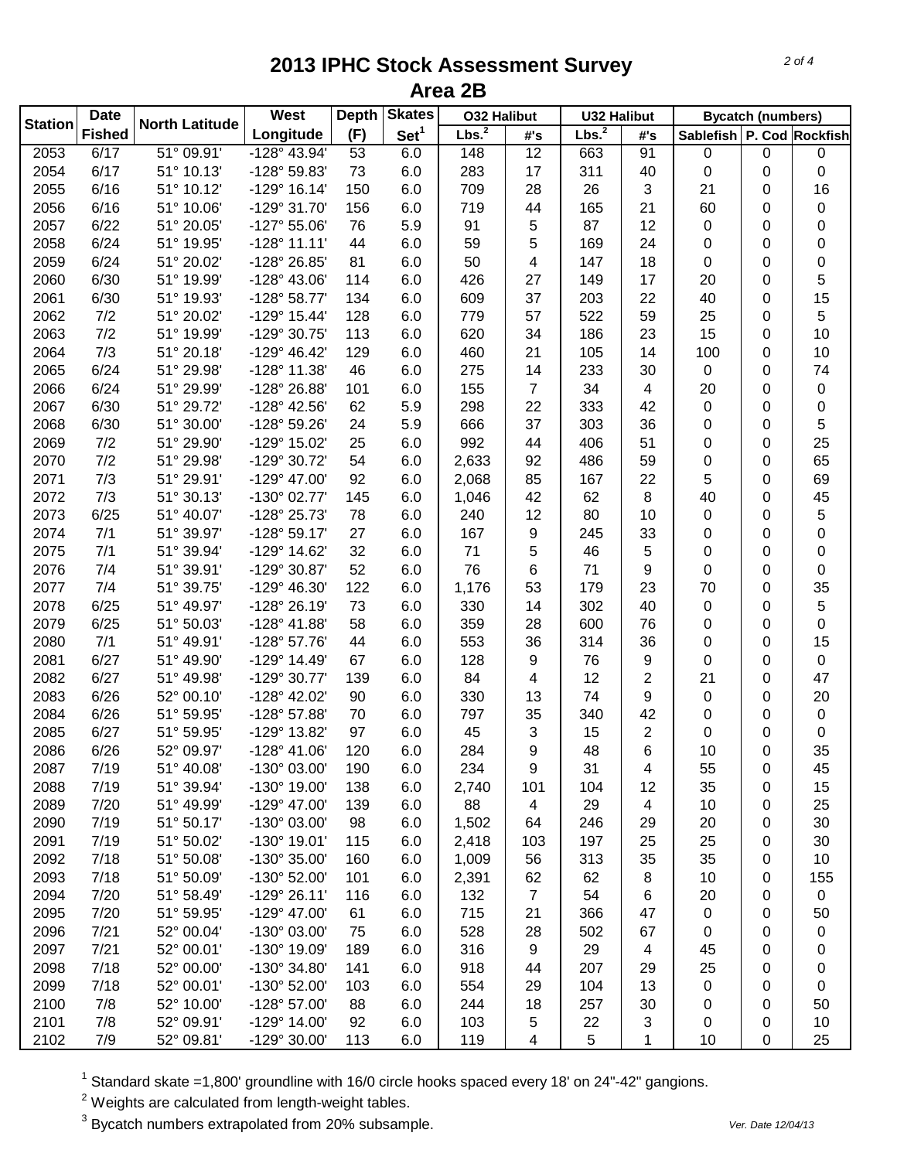|                | <b>Date</b>   | <b>North Latitude</b>    | West                  | <b>Depth</b> | <b>Skates</b>    | <b>O32 Halibut</b> |                | <b>U32 Halibut</b> |     | <b>Bycatch (numbers)</b>  |           |           |
|----------------|---------------|--------------------------|-----------------------|--------------|------------------|--------------------|----------------|--------------------|-----|---------------------------|-----------|-----------|
| <b>Station</b> | <b>Fished</b> |                          | Longitude             | (F)          | Set <sup>1</sup> | Lbs. <sup>2</sup>  | #'s            | Lbs. <sup>2</sup>  | #'s | Sablefish P. Cod Rockfish |           |           |
| 2053           | 6/17          | 51° 09.91'               | $-128^{\circ}$ 43.94' | 53           | 6.0              | 148                | 12             | 663                | 91  | 0                         | $\pmb{0}$ | 0         |
| 2054           | 6/17          | 51° 10.13'               | -128° 59.83'          | 73           | 6.0              | 283                | 17             | 311                | 40  | $\mathbf 0$               | 0         | 0         |
| 2055           | 6/16          | 51° 10.12'               | $-129°$ 16.14'        | 150          | 6.0              | 709                | 28             | 26                 | 3   | 21                        | 0         | 16        |
| 2056           | 6/16          | 51° 10.06'               | -129° 31.70'          | 156          | 6.0              | 719                | 44             | 165                | 21  | 60                        | 0         | 0         |
| 2057           | 6/22          | 51° 20.05'               | $-127^{\circ} 55.06'$ | 76           | 5.9              | 91                 | 5              | 87                 | 12  | 0                         | 0         | 0         |
| 2058           | 6/24          | 51° 19.95'               | $-128°11.11'$         | 44           | 6.0              | 59                 | 5              | 169                | 24  | 0                         | 0         | 0         |
| 2059           | 6/24          | 51° 20.02'               | -128° 26.85'          | 81           | 6.0              | 50                 | 4              | 147                | 18  | $\mathbf 0$               | 0         | 0         |
| 2060           | 6/30          | 51° 19.99'               | $-128^{\circ}$ 43.06' | 114          | 6.0              | 426                | 27             | 149                | 17  | 20                        | 0         | 5         |
| 2061           | 6/30          | 51° 19.93'               | -128° 58.77'          | 134          | 6.0              | 609                | 37             | 203                | 22  | 40                        | 0         | 15        |
| 2062           | 7/2           | 51° 20.02'               | -129° 15.44'          | 128          | 6.0              | 779                | 57             | 522                | 59  | 25                        | 0         | 5         |
| 2063           | 7/2           | 51° 19.99'               | -129° 30.75'          | 113          | 6.0              | 620                | 34             | 186                | 23  | 15                        | 0         | 10        |
| 2064           | 7/3           | 51° 20.18'               | $-129^{\circ}$ 46.42' | 129          | 6.0              | 460                | 21             | 105                | 14  | 100                       | 0         | 10        |
| 2065           | 6/24          | 51° 29.98'               | -128° 11.38'          | 46           | 6.0              | 275                | 14             | 233                | 30  | 0                         | 0         | 74        |
| 2066           | 6/24          | 51° 29.99'               | -128° 26.88'          | 101          | 6.0              | 155                | 7              | 34                 | 4   | 20                        | 0         | 0         |
| 2067           | 6/30          | 51° 29.72'               | -128° 42.56'          | 62           | 5.9              | 298                | 22             | 333                | 42  | $\mathbf 0$               | 0         | 0         |
| 2068           | 6/30          | 51° 30.00'               | -128° 59.26'          | 24           | 5.9              | 666                | 37             | 303                | 36  | 0                         | 0         | 5         |
| 2069           | 7/2           | 51° 29.90'               | -129° 15.02'          | 25           | 6.0              | 992                | 44             | 406                | 51  | $\mathbf 0$               | 0         | 25        |
| 2070           | 7/2           | 51° 29.98'               | -129° 30.72'          | 54           | 6.0              | 2,633              | 92             | 486                | 59  | 0                         | 0         | 65        |
| 2071           | 7/3           | 51° 29.91'               | -129° 47.00'          | 92           | 6.0              | 2,068              | 85             | 167                | 22  | 5                         | 0         | 69        |
| 2072           | 7/3           | 51° 30.13'               | -130° 02.77'          | 145          | 6.0              | 1,046              | 42             | 62                 | 8   | 40                        | 0         | 45        |
| 2073           | 6/25          | 51° 40.07'               | -128° 25.73'          | 78           | 6.0              | 240                | 12             | 80                 | 10  | 0                         | $\Omega$  | 5         |
| 2074           | 7/1           | 51° 39.97'               | $-128°59.17'$         | 27           | 6.0              | 167                | 9              | 245                | 33  | 0                         | 0         | 0         |
| 2075           | 7/1           | 51° 39.94'               | -129° 14.62'          | 32           | 6.0              | 71                 | 5              | 46                 | 5   | 0                         | 0         | 0         |
| 2076           | 7/4           | 51° 39.91'               | -129° 30.87'          | 52           | 6.0              | 76                 | 6              | 71                 | 9   | $\mathbf 0$               | 0         | 0         |
| 2077           | 7/4           | 51° 39.75'               | -129° 46.30'          | 122          | 6.0              | 1,176              | 53             | 179                | 23  | 70                        | 0         | 35        |
| 2078           | 6/25          | 51° 49.97'               | -128° 26.19'          | 73           | 6.0              | 330                | 14             | 302                | 40  | 0                         | 0         | 5         |
| 2079           | 6/25          | 51° 50.03'               | $-128°$ 41.88'        | 58           | 6.0              | 359                | 28             | 600                | 76  | 0                         | 0         | 0         |
| 2080           | 7/1           | 51° 49.91'               | -128° 57.76'          | 44           | 6.0              | 553                | 36             | 314                | 36  | 0                         | 0         | 15        |
| 2081           | 6/27          | 51° 49.90'               | $-129°$ 14.49'        | 67           | 6.0              | 128                | 9              | 76                 | 9   | 0                         | 0         | $\pmb{0}$ |
| 2082           | 6/27          | 51° 49.98'               | -129° 30.77'          | 139          | 6.0              | 84                 |                | 12                 |     | 21                        |           | 47        |
|                | 6/26          |                          |                       |              |                  |                    | 4              | 74                 | 2   |                           | 0         |           |
| 2083           |               | 52° 00.10'<br>51° 59.95' | -128° 42.02'          | 90           | 6.0              | 330                | 13             |                    | 9   | 0                         | 0         | 20        |
| 2084           | 6/26          |                          | -128° 57.88'          | 70           | 6.0              | 797                | 35             | 340                | 42  | 0                         | 0         | 0         |
| 2085           | 6/27          | 51° 59.95'               | -129° 13.82'          | 97           | 6.0              | 45                 | 3              | 15                 | 2   | 0                         | 0         | 0         |
| 2086           | 6/26          | 52° 09.97'               | $-128° 41.06$         | 120          | 6.0              | 284                | 9              | 48                 | 6   | 10                        | $\Omega$  | 35        |
| 2087           | 7/19          | 51° 40.08'               | -130° 03.00'          | 190          | 6.0              | 234                | 9              | 31                 | 4   | 55                        | 0         | 45        |
| 2088           | 7/19          | 51° 39.94'               | -130° 19.00'          | 138          | 6.0              | 2,740              | 101            | 104                | 12  | 35                        | 0         | 15        |
| 2089           | 7/20          | 51° 49.99'               | -129° 47.00'          | 139          | 6.0              | 88                 | 4              | 29                 | 4   | 10                        | 0         | 25        |
| 2090           | 7/19          | 51° 50.17'               | -130° 03.00'          | 98           | 6.0              | 1,502              | 64             | 246                | 29  | 20                        | 0         | 30        |
| 2091           | 7/19          | 51° 50.02'               | -130° 19.01'          | 115          | 6.0              | 2,418              | 103            | 197                | 25  | 25                        | 0         | 30        |
| 2092           | 7/18          | 51° 50.08'               | -130° 35.00'          | 160          | 6.0              | 1,009              | 56             | 313                | 35  | 35                        | 0         | 10        |
| 2093           | 7/18          | 51° 50.09'               | -130° 52.00'          | 101          | 6.0              | 2,391              | 62             | 62                 | 8   | 10                        | 0         | 155       |
| 2094           | 7/20          | 51° 58.49'               | $-129°26.11'$         | 116          | 6.0              | 132                | $\overline{7}$ | 54                 | 6   | 20                        | 0         | 0         |
| 2095           | 7/20          | 51° 59.95'               | -129° 47.00'          | 61           | 6.0              | 715                | 21             | 366                | 47  | 0                         | 0         | 50        |
| 2096           | 7/21          | 52° 00.04'               | -130° 03.00'          | 75           | 6.0              | 528                | 28             | 502                | 67  | 0                         | 0         | 0         |
| 2097           | 7/21          | 52° 00.01'               | -130° 19.09'          | 189          | 6.0              | 316                | 9              | 29                 | 4   | 45                        | 0         | 0         |
| 2098           | 7/18          | 52° 00.00'               | -130° 34.80'          | 141          | 6.0              | 918                | 44             | 207                | 29  | 25                        | 0         | 0         |
| 2099           | 7/18          | 52° 00.01'               | -130° 52.00'          | 103          | 6.0              | 554                | 29             | 104                | 13  | 0                         | 0         | 0         |
| 2100           | 7/8           | 52° 10.00'               | $-128°57.00'$         | 88           | 6.0              | 244                | 18             | 257                | 30  | 0                         | 0         | 50        |
| 2101           | 7/8           | 52° 09.91'               | -129° 14.00'          | 92           | 6.0              | 103                | 5              | 22                 | 3   | 0                         | 0         | 10        |
| 2102           | 7/9           | 52° 09.81'               | -129° 30.00'          | 113          | 6.0              | 119                | 4              | 5                  | 1   | 10                        | 0         | 25        |

<sup>1</sup> Standard skate =1,800' groundline with 16/0 circle hooks spaced every 18' on 24"-42" gangions.

 $2$  Weights are calculated from length-weight tables.

<sup>3</sup> Bycatch numbers extrapolated from 20% subsample. *Ver. Date 12/04/13*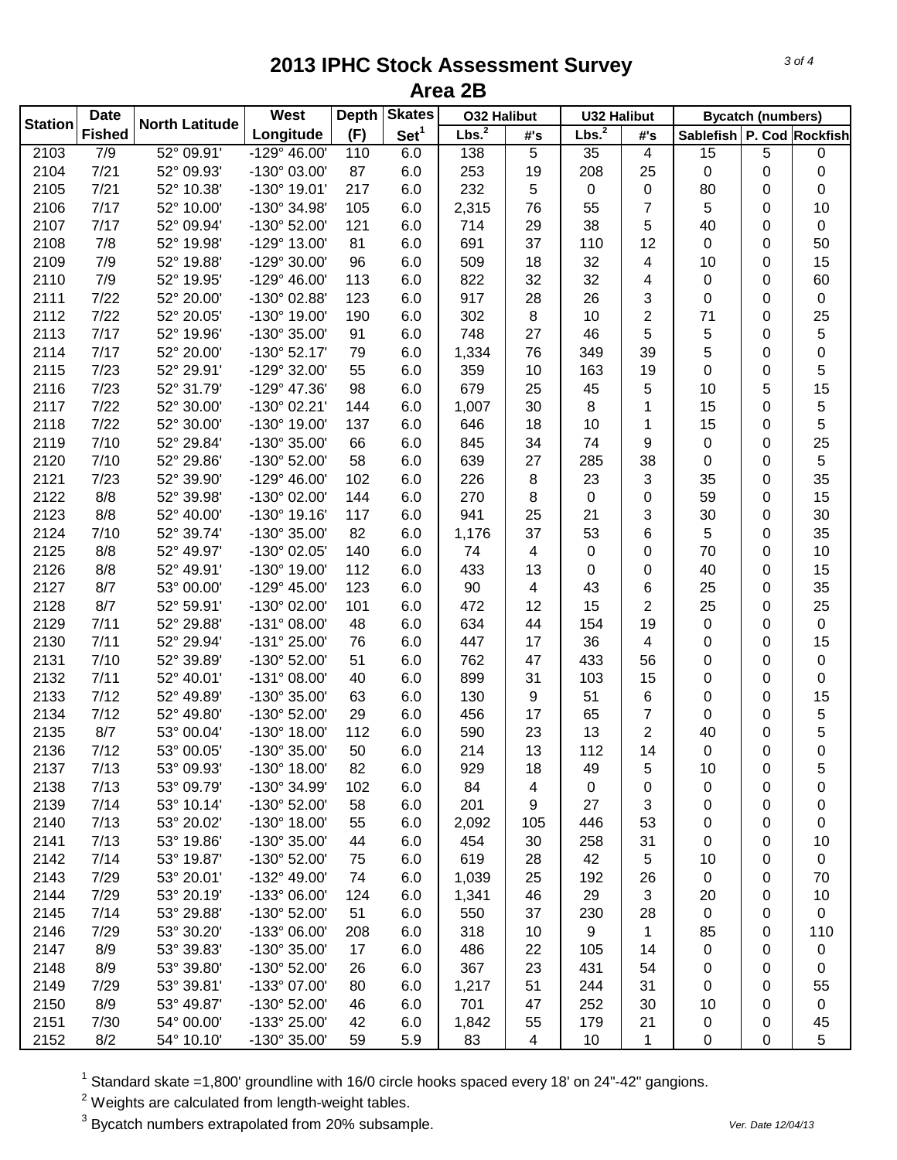| <b>Station</b> | <b>Date</b>   | <b>North Latitude</b> | West                  | <b>Depth</b> | <b>Skates</b>    | <b>032 Halibut</b> |     | <b>U32 Halibut</b> |     | <b>Bycatch (numbers)</b>  |          |           |
|----------------|---------------|-----------------------|-----------------------|--------------|------------------|--------------------|-----|--------------------|-----|---------------------------|----------|-----------|
|                | <b>Fished</b> |                       | Longitude             | (F)          | Set <sup>1</sup> | Lbs. <sup>2</sup>  | #'s | Lbs. <sup>2</sup>  | #'s | Sablefish P. Cod Rockfish |          |           |
| 2103           | 7/9           | 52° 09.91'            | $-129^{\circ}$ 46.00' | 110          | 6.0              | 138                | 5   | 35                 | 4   | 15                        | 5        | 0         |
| 2104           | $7/21$        | 52° 09.93'            | -130° 03.00'          | 87           | 6.0              | 253                | 19  | 208                | 25  | 0                         | 0        | 0         |
| 2105           | 7/21          | 52° 10.38'            | -130° 19.01'          | 217          | 6.0              | 232                | 5   | 0                  | 0   | 80                        | 0        | 0         |
| 2106           | 7/17          | 52° 10.00'            | -130° 34.98'          | 105          | 6.0              | 2,315              | 76  | 55                 | 7   | 5                         | 0        | 10        |
| 2107           | 7/17          | 52° 09.94'            | -130° 52.00'          | 121          | 6.0              | 714                | 29  | 38                 | 5   | 40                        | 0        | $\pmb{0}$ |
| 2108           | 7/8           | 52° 19.98'            | -129° 13.00'          | 81           | 6.0              | 691                | 37  | 110                | 12  | 0                         | 0        | 50        |
| 2109           | 7/9           | 52° 19.88'            | -129° 30.00'          | 96           | 6.0              | 509                | 18  | 32                 | 4   | 10                        | 0        | 15        |
| 2110           | 7/9           | 52° 19.95'            | $-129^{\circ}$ 46.00' | 113          | 6.0              | 822                | 32  | 32                 | 4   | 0                         | 0        | 60        |
| 2111           | 7/22          | 52° 20.00'            | -130° 02.88'          | 123          | 6.0              | 917                | 28  | 26                 | 3   | 0                         | 0        | 0         |
| 2112           | 7/22          | 52° 20.05'            | -130° 19.00'          | 190          | 6.0              | 302                | 8   | 10                 | 2   | 71                        | 0        | 25        |
| 2113           | 7/17          | 52° 19.96'            | -130° 35.00'          | 91           | 6.0              | 748                | 27  | 46                 | 5   | 5                         | 0        | 5         |
| 2114           | 7/17          | 52° 20.00'            | $-130^{\circ}$ 52.17' | 79           | 6.0              | 1,334              | 76  | 349                | 39  | 5                         | 0        | 0         |
| 2115           | 7/23          | 52° 29.91'            | -129° 32.00'          | 55           | 6.0              | 359                | 10  | 163                | 19  | 0                         | 0        | 5         |
| 2116           | 7/23          | 52° 31.79'            | -129° 47.36'          | 98           | 6.0              | 679                | 25  | 45                 | 5   | 10                        | 5        | 15        |
| 2117           | 7/22          | 52° 30.00'            | -130° 02.21'          | 144          | 6.0              | 1,007              | 30  | 8                  | 1   | 15                        | 0        | 5         |
| 2118           | 7/22          | 52° 30.00'            | -130° 19.00'          | 137          | 6.0              | 646                | 18  | 10                 | 1   | 15                        | 0        | 5         |
| 2119           | 7/10          | 52° 29.84'            | -130° 35.00'          | 66           | 6.0              | 845                | 34  | 74                 | 9   | $\mathbf 0$               | 0        | 25        |
| 2120           | 7/10          | 52° 29.86'            | -130° 52.00'          | 58           | 6.0              | 639                | 27  | 285                | 38  | $\mathbf 0$               | 0        | 5         |
| 2121           | 7/23          | 52° 39.90'            | $-129^{\circ}$ 46.00' | 102          | 6.0              | 226                | 8   | 23                 | 3   | 35                        | 0        | 35        |
| 2122           | 8/8           | 52° 39.98'            | -130° 02.00'          | 144          | 6.0              | 270                | 8   | $\pmb{0}$          | 0   | 59                        | 0        | 15        |
| 2123           | 8/8           | 52° 40.00'            | $-130^{\circ}$ 19.16' | 117          | 6.0              | 941                | 25  | 21                 | 3   | 30                        | 0        | 30        |
| 2124           | 7/10          | 52° 39.74'            | -130° 35.00'          | 82           | 6.0              | 1,176              | 37  | 53                 | 6   | 5                         | 0        | 35        |
| 2125           | 8/8           | 52° 49.97'            | -130° 02.05'          | 140          | 6.0              | 74                 | 4   | 0                  | 0   | 70                        | $\Omega$ | 10        |
| 2126           | 8/8           | 52° 49.91'            | -130° 19.00'          | 112          | 6.0              | 433                | 13  | 0                  | 0   | 40                        | 0        | 15        |
| 2127           | 8/7           | 53° 00.00'            | -129° 45.00'          | 123          | 6.0              | 90                 | 4   | 43                 | 6   | 25                        | 0        | 35        |
| 2128           | 8/7           | 52° 59.91'            | -130° 02.00'          | 101          | 6.0              | 472                | 12  | 15                 | 2   | 25                        | 0        | 25        |
| 2129           | 7/11          | 52° 29.88'            | $-131^{\circ}$ 08.00' | 48           | 6.0              | 634                | 44  | 154                | 19  | 0                         | 0        | $\pmb{0}$ |
| 2130           | 7/11          | 52° 29.94'            | -131° 25.00'          | 76           | 6.0              | 447                | 17  | 36                 | 4   | 0                         | 0        | 15        |
| 2131           | 7/10          | 52° 39.89'            | -130° 52.00'          | 51           | 6.0              | 762                | 47  | 433                | 56  | 0                         | 0        | $\pmb{0}$ |
| 2132           | 7/11          | 52° 40.01'            | $-131°08.00'$         | 40           | 6.0              | 899                | 31  | 103                | 15  | 0                         | 0        | 0         |
| 2133           | 7/12          | 52° 49.89'            | -130° 35.00'          | 63           | 6.0              | 130                | 9   | 51                 | 6   | 0                         | 0        | 15        |
| 2134           | 7/12          | 52° 49.80'            | -130° 52.00'          | 29           | 6.0              | 456                | 17  | 65                 | 7   | 0                         | 0        | 5         |
| 2135           | 8/7           | 53° 00.04'            | $-130^{\circ}$ 18.00' | 112          | 6.0              | 590                | 23  | 13                 | 2   | 40                        | 0        | 5         |
| 2136           | 7/12          | 53° 00.05'            | -130° 35.00'          | 50           | 6.0              | 214                | 13  | 112                | 14  | $\mathbf 0$               | 0        | 0         |
| 2137           | 7/13          | 53° 09.93'            | $-130^{\circ}$ 18.00' | 82           | 6.0              | 929                | 18  | 49                 | 5   | 10                        | 0        | 5         |
| 2138           | 7/13          | 53° 09.79'            | -130° 34.99'          | 102          | 6.0              | 84                 | 4   | 0                  | 0   | 0                         | 0        | 0         |
| 2139           | 7/14          | 53° 10.14'            | -130° 52.00'          | 58           | 6.0              | 201                | 9   | 27                 | 3   | 0                         | 0        | 0         |
| 2140           | 7/13          | 53° 20.02'            | -130° 18.00'          | 55           | 6.0              | 2,092              | 105 | 446                | 53  | 0                         | 0        | 0         |
| 2141           | 7/13          | 53° 19.86'            | -130° 35.00'          | 44           | 6.0              | 454                | 30  | 258                | 31  | 0                         | 0        | 10        |
| 2142           | 7/14          | 53° 19.87'            | -130° 52.00'          | 75           | 6.0              | 619                | 28  | 42                 | 5   | 10                        | 0        | 0         |
| 2143           | 7/29          | 53° 20.01'            | -132° 49.00'          | 74           | 6.0              | 1,039              | 25  | 192                | 26  | 0                         | 0        | 70        |
| 2144           | 7/29          | 53° 20.19'            | -133° 06.00'          | 124          | 6.0              | 1,341              | 46  | 29                 | 3   | 20                        | 0        | 10        |
| 2145           | 7/14          | 53° 29.88'            | -130° 52.00'          | 51           | 6.0              | 550                | 37  | 230                | 28  | 0                         | 0        | 0         |
| 2146           | 7/29          | 53° 30.20'            | -133° 06.00'          | 208          | 6.0              | 318                | 10  | 9                  | 1   | 85                        | 0        | 110       |
| 2147           | 8/9           | 53° 39.83'            | -130° 35.00'          | 17           | 6.0              | 486                | 22  | 105                | 14  | 0                         | 0        | 0         |
| 2148           | 8/9           | 53° 39.80'            | -130° 52.00'          | 26           | 6.0              | 367                | 23  | 431                | 54  | 0                         | 0        | 0         |
| 2149           | 7/29          | 53° 39.81'            | -133° 07.00'          | 80           | 6.0              | 1,217              | 51  | 244                | 31  | 0                         | 0        | 55        |
| 2150           | 8/9           | 53° 49.87'            | -130° 52.00'          | 46           | 6.0              | 701                | 47  | 252                | 30  | 10                        | 0        | 0         |
| 2151           | 7/30          | 54° 00.00'            | -133° 25.00'          | 42           | 6.0              | 1,842              | 55  | 179                | 21  | 0                         | 0        | 45        |
| 2152           | 8/2           | 54° 10.10'            | -130° 35.00'          | 59           | 5.9              | 83                 | 4   | 10                 | 1   | 0                         | 0        | 5         |

<sup>1</sup> Standard skate =1,800' groundline with 16/0 circle hooks spaced every 18' on 24"-42" gangions.

 $2$  Weights are calculated from length-weight tables.

<sup>3</sup> Bycatch numbers extrapolated from 20% subsample. *Ver. Date 12/04/13*